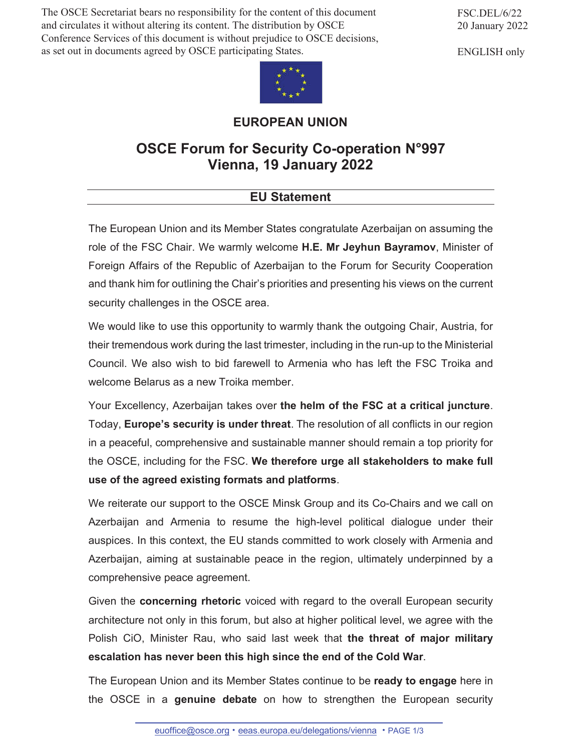The OSCE Secretariat bears no responsibility for the content of this document and circulates it without altering its content. The distribution by OSCE Conference Services of this document is without prejudice to OSCE decisions, as set out in documents agreed by OSCE participating States.

FSC.DEL/6/22 20 January 2022

ENGLISH only



## **EUROPEAN UNION**

## **OSCE Forum for Security Co-operation N°997 Vienna, 19 January 2022**

## **EU Statement**

The European Union and its Member States congratulate Azerbaijan on assuming the role of the FSC Chair. We warmly welcome **H.E. Mr Jeyhun Bayramov**, Minister of Foreign Affairs of the Republic of Azerbaijan to the Forum for Security Cooperation and thank him for outlining the Chair's priorities and presenting his views on the current security challenges in the OSCE area.

We would like to use this opportunity to warmly thank the outgoing Chair, Austria, for their tremendous work during the last trimester, including in the run-up to the Ministerial Council. We also wish to bid farewell to Armenia who has left the FSC Troika and welcome Belarus as a new Troika member.

Your Excellency, Azerbaijan takes over **the helm of the FSC at a critical juncture**. Today, **Europe's security is under threat**. The resolution of all conflicts in our region in a peaceful, comprehensive and sustainable manner should remain a top priority for the OSCE, including for the FSC. **We therefore urge all stakeholders to make full use of the agreed existing formats and platforms**.

We reiterate our support to the OSCE Minsk Group and its Co-Chairs and we call on Azerbaijan and Armenia to resume the high-level political dialogue under their auspices. In this context, the EU stands committed to work closely with Armenia and Azerbaijan, aiming at sustainable peace in the region, ultimately underpinned by a comprehensive peace agreement.

Given the **concerning rhetoric** voiced with regard to the overall European security architecture not only in this forum, but also at higher political level, we agree with the Polish CiO, Minister Rau, who said last week that **the threat of major military escalation has never been this high since the end of the Cold War**.

The European Union and its Member States continue to be **ready to engage** here in the OSCE in a **genuine debate** on how to strengthen the European security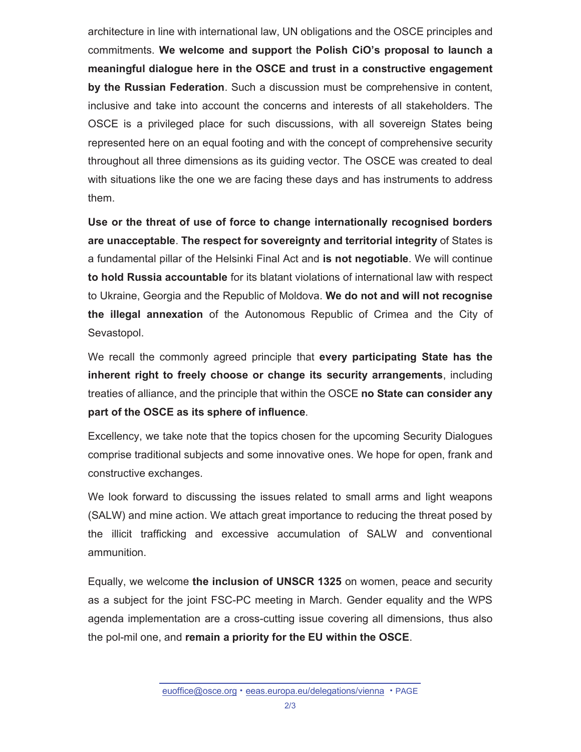architecture in line with international law, UN obligations and the OSCE principles and commitments. **We welcome and support** t**he Polish CiO's proposal to launch a meaningful dialogue here in the OSCE and trust in a constructive engagement by the Russian Federation**. Such a discussion must be comprehensive in content, inclusive and take into account the concerns and interests of all stakeholders. The OSCE is a privileged place for such discussions, with all sovereign States being represented here on an equal footing and with the concept of comprehensive security throughout all three dimensions as its guiding vector. The OSCE was created to deal with situations like the one we are facing these days and has instruments to address them.

**Use or the threat of use of force to change internationally recognised borders are unacceptable**. **The respect for sovereignty and territorial integrity** of States is a fundamental pillar of the Helsinki Final Act and **is not negotiable**. We will continue **to hold Russia accountable** for its blatant violations of international law with respect to Ukraine, Georgia and the Republic of Moldova. **We do not and will not recognise the illegal annexation** of the Autonomous Republic of Crimea and the City of Sevastopol.

We recall the commonly agreed principle that **every participating State has the inherent right to freely choose or change its security arrangements**, including treaties of alliance, and the principle that within the OSCE **no State can consider any part of the OSCE as its sphere of influence**.

Excellency, we take note that the topics chosen for the upcoming Security Dialogues comprise traditional subjects and some innovative ones. We hope for open, frank and constructive exchanges.

We look forward to discussing the issues related to small arms and light weapons (SALW) and mine action. We attach great importance to reducing the threat posed by the illicit trafficking and excessive accumulation of SALW and conventional ammunition.

Equally, we welcome **the inclusion of UNSCR 1325** on women, peace and security as a subject for the joint FSC-PC meeting in March. Gender equality and the WPS agenda implementation are a cross-cutting issue covering all dimensions, thus also the pol-mil one, and **remain a priority for the EU within the OSCE**.